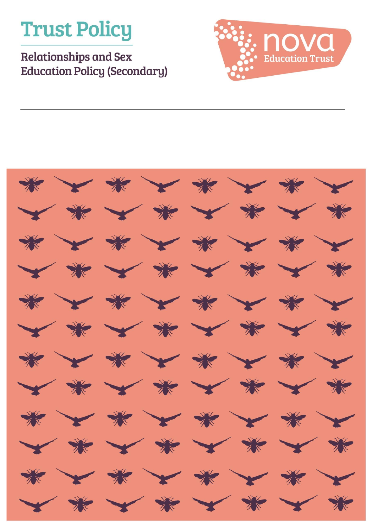

<span id="page-0-0"></span>**Relationships and Sex Education Policy (Secondary)** 



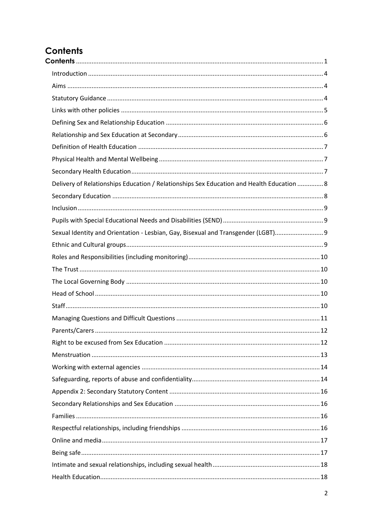# Contents<br>Contents.....

| Delivery of Relationships Education / Relationships Sex Education and Health Education  8 |  |
|-------------------------------------------------------------------------------------------|--|
|                                                                                           |  |
|                                                                                           |  |
|                                                                                           |  |
| Sexual Identity and Orientation - Lesbian, Gay, Bisexual and Transgender (LGBT) 9         |  |
|                                                                                           |  |
|                                                                                           |  |
|                                                                                           |  |
|                                                                                           |  |
|                                                                                           |  |
|                                                                                           |  |
|                                                                                           |  |
|                                                                                           |  |
|                                                                                           |  |
|                                                                                           |  |
|                                                                                           |  |
|                                                                                           |  |
|                                                                                           |  |
|                                                                                           |  |
|                                                                                           |  |
|                                                                                           |  |
|                                                                                           |  |
|                                                                                           |  |
|                                                                                           |  |
|                                                                                           |  |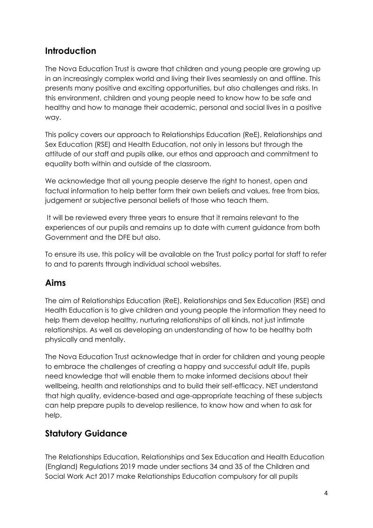## <span id="page-3-0"></span>**Introduction**

The Nova Education Trust is aware that children and young people are growing up in an increasingly complex world and living their lives seamlessly on and offline. This presents many positive and exciting opportunities, but also challenges and risks. In this environment, children and young people need to know how to be safe and healthy and how to manage their academic, personal and social lives in a positive way.

This policy covers our approach to Relationships Education (ReE), Relationships and Sex Education (RSE) and Health Education, not only in lessons but through the attitude of our staff and pupils alike, our ethos and approach and commitment to equality both within and outside of the classroom.

We acknowledge that all young people deserve the right to honest, open and factual information to help better form their own beliefs and values, free from bias, judgement or subjective personal beliefs of those who teach them.

It will be reviewed every three years to ensure that it remains relevant to the experiences of our pupils and remains up to date with current guidance from both Government and the DFE but also.

To ensure its use, this policy will be available on the Trust policy portal for staff to refer to and to parents through individual school websites.

## <span id="page-3-1"></span>**Aims**

The aim of Relationships Education (ReE), Relationships and Sex Education (RSE) and Health Education is to give children and young people the information they need to help them develop healthy, nurturing relationships of all kinds, not just intimate relationships. As well as developing an understanding of how to be healthy both physically and mentally.

The Nova Education Trust acknowledge that in order for children and young people to embrace the challenges of creating a happy and successful adult life, pupils need knowledge that will enable them to make informed decisions about their wellbeing, health and relationships and to build their self-efficacy. NET understand that high quality, evidence-based and age-appropriate teaching of these subjects can help prepare pupils to develop resilience, to know how and when to ask for help.

## <span id="page-3-2"></span>**Statutory Guidance**

The Relationships Education, Relationships and Sex Education and Health Education (England) Regulations 2019 made under sections 34 and 35 of the Children and Social Work Act 2017 make Relationships Education compulsory for all pupils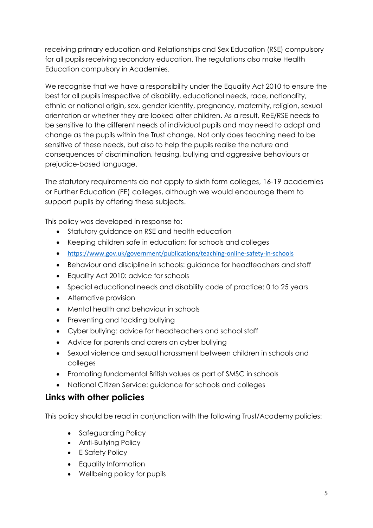receiving primary education and Relationships and Sex Education (RSE) compulsory for all pupils receiving secondary education. The regulations also make Health Education compulsory in Academies.

We recognise that we have a responsibility under the Equality Act 2010 to ensure the best for all pupils irrespective of disability, educational needs, race, nationality, ethnic or national origin, sex, gender identity, pregnancy, maternity, religion, sexual orientation or whether they are looked after children. As a result, ReE/RSE needs to be sensitive to the different needs of individual pupils and may need to adapt and change as the pupils within the Trust change. Not only does teaching need to be sensitive of these needs, but also to help the pupils realise the nature and consequences of discrimination, teasing, bullying and aggressive behaviours or prejudice-based language.

The statutory requirements do not apply to sixth form colleges, 16-19 academies or Further Education (FE) colleges, although we would encourage them to support pupils by offering these subjects.

This policy was developed in response to:

- Statutory guidance on RSE and health education
- Keeping children safe in education: for schools and colleges
- [https://www.gov.uk/government/publications/teaching-online-safety-in-schools](https://eur02.safelinks.protection.outlook.com/?url=https%3A%2F%2Fwww.gov.uk%2Fgovernment%2Fpublications%2Fteaching-online-safety-in-schools&data=02%7C01%7CVHayles%40novaeducationtrust.net%7Ccd1dc6e52b444b9727e308d7382481eb%7Cf4ebe22eb55344f388563e0d84908eb8%7C0%7C0%7C637039601757797783&sdata=WBo8EOk7K6dUjDXnRiokg2oBKD5lvcAzmTznI%2B2FRuI%3D&reserved=0)
- Behaviour and discipline in schools: guidance for headteachers and staff
- Equality Act 2010: advice for schools
- Special educational needs and disability code of practice: 0 to 25 years
- Alternative provision
- Mental health and behaviour in schools
- Preventing and tackling bullying
- Cyber bullying: advice for headteachers and school staff
- Advice for parents and carers on cyber bullying
- Sexual violence and sexual harassment between children in schools and colleges
- Promoting fundamental British values as part of SMSC in schools
- National Citizen Service: guidance for schools and colleges

#### <span id="page-4-0"></span>**Links with other policies**

This policy should be read in conjunction with the following Trust/Academy policies:

- Safeguarding Policy
- Anti-Bullying Policy
- E-Safety Policy
- Equality Information
- Wellbeing policy for pupils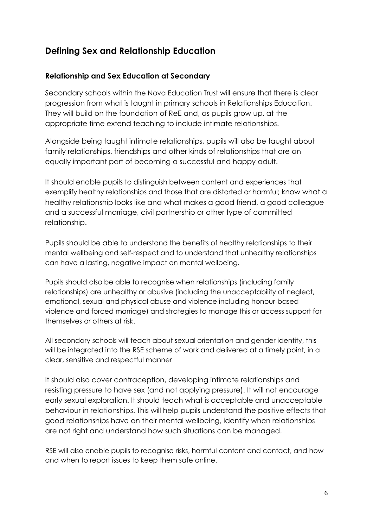## <span id="page-5-0"></span>**Defining Sex and Relationship Education**

#### <span id="page-5-1"></span>**Relationship and Sex Education at Secondary**

Secondary schools within the Nova Education Trust will ensure that there is clear progression from what is taught in primary schools in Relationships Education. They will build on the foundation of ReE and, as pupils grow up, at the appropriate time extend teaching to include intimate relationships.

Alongside being taught intimate relationships, pupils will also be taught about family relationships, friendships and other kinds of relationships that are an equally important part of becoming a successful and happy adult.

It should enable pupils to distinguish between content and experiences that exemplify healthy relationships and those that are distorted or harmful; know what a healthy relationship looks like and what makes a good friend, a good colleague and a successful marriage, civil partnership or other type of committed relationship.

Pupils should be able to understand the benefits of healthy relationships to their mental wellbeing and self-respect and to understand that unhealthy relationships can have a lasting, negative impact on mental wellbeing.

Pupils should also be able to recognise when relationships (including family relationships) are unhealthy or abusive (including the unacceptability of neglect, emotional, sexual and physical abuse and violence including honour-based violence and forced marriage) and strategies to manage this or access support for themselves or others at risk.

All secondary schools will teach about sexual orientation and gender identity, this will be integrated into the RSE scheme of work and delivered at a timely point, in a clear, sensitive and respectful manner

It should also cover contraception, developing intimate relationships and resisting pressure to have sex (and not applying pressure). It will not encourage early sexual exploration. It should teach what is acceptable and unacceptable behaviour in relationships. This will help pupils understand the positive effects that good relationships have on their mental wellbeing, identify when relationships are not right and understand how such situations can be managed.

RSE will also enable pupils to recognise risks, harmful content and contact, and how and when to report issues to keep them safe online.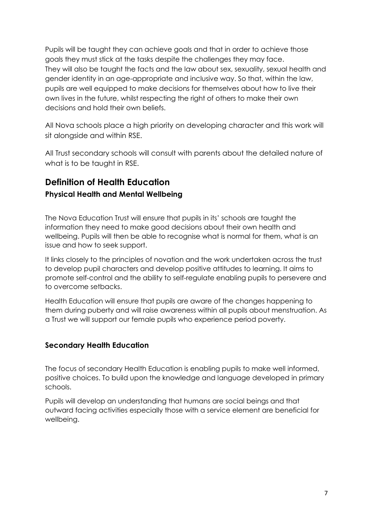Pupils will be taught they can achieve goals and that in order to achieve those goals they must stick at the tasks despite the challenges they may face. They will also be taught the facts and the law about sex, sexuality, sexual health and gender identity in an age-appropriate and inclusive way. So that, within the law, pupils are well equipped to make decisions for themselves about how to live their own lives in the future, whilst respecting the right of others to make their own decisions and hold their own beliefs.

All Nova schools place a high priority on developing character and this work will sit alongside and within RSE.

All Trust secondary schools will consult with parents about the detailed nature of what is to be taught in RSE.

# <span id="page-6-0"></span>**Definition of Health Education**

#### <span id="page-6-1"></span>**Physical Health and Mental Wellbeing**

The Nova Education Trust will ensure that pupils in its' schools are taught the information they need to make good decisions about their own health and wellbeing. Pupils will then be able to recognise what is normal for them, what is an issue and how to seek support.

It links closely to the principles of novation and the work undertaken across the trust to develop pupil characters and develop positive attitudes to learning. It aims to promote self-control and the ability to self-regulate enabling pupils to persevere and to overcome setbacks.

Health Education will ensure that pupils are aware of the changes happening to them during puberty and will raise awareness within all pupils about menstruation. As a Trust we will support our female pupils who experience period poverty.

#### <span id="page-6-2"></span>**Secondary Health Education**

The focus of secondary Health Education is enabling pupils to make well informed, positive choices. To build upon the knowledge and language developed in primary schools.

Pupils will develop an understanding that humans are social beings and that outward facing activities especially those with a service element are beneficial for wellbeing.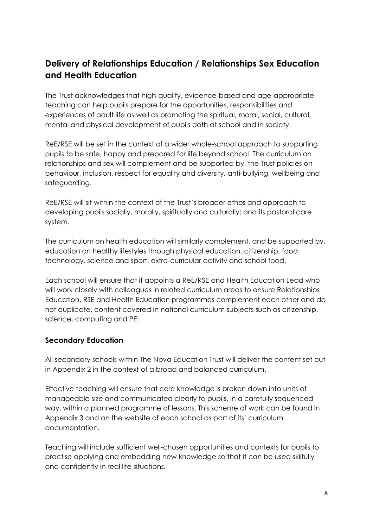## <span id="page-7-0"></span>**Delivery of Relationships Education / Relationships Sex Education and Health Education**

The Trust acknowledges that high-quality, evidence-based and age-appropriate teaching can help pupils prepare for the opportunities, responsibilities and experiences of adult life as well as promoting the spiritual, moral, social, cultural, mental and physical development of pupils both at school and in society.

ReE/RSE will be set in the context of a wider whole-school approach to supporting pupils to be safe, happy and prepared for life beyond school. The curriculum on relationships and sex will complement and be supported by, the Trust policies on behaviour, inclusion, respect for equality and diversity, anti-bullying, wellbeing and safeguarding.

ReE/RSE will sit within the context of the Trust's broader ethos and approach to developing pupils socially, morally, spiritually and culturally; and its pastoral care system.

The curriculum on health education will similarly complement, and be supported by, education on healthy lifestyles through physical education, citizenship, food technology, science and sport, extra-curricular activity and school food.

Each school will ensure that it appoints a ReE/RSE and Health Education Lead who will work closely with colleagues in related curriculum areas to ensure Relationships Education, RSE and Health Education programmes complement each other and do not duplicate, content covered in national curriculum subjects such as citizenship, science, computing and PE.

#### <span id="page-7-1"></span>**Secondary Education**

All secondary schools within The Nova Education Trust will deliver the content set out in Appendix 2 in the context of a broad and balanced curriculum.

Effective teaching will ensure that core knowledge is broken down into units of manageable size and communicated clearly to pupils, in a carefully sequenced way, within a planned programme of lessons. This scheme of work can be found in Appendix 3 and on the website of each school as part of its' curriculum documentation.

Teaching will include sufficient well-chosen opportunities and contexts for pupils to practise applying and embedding new knowledge so that it can be used skilfully and confidently in real life situations.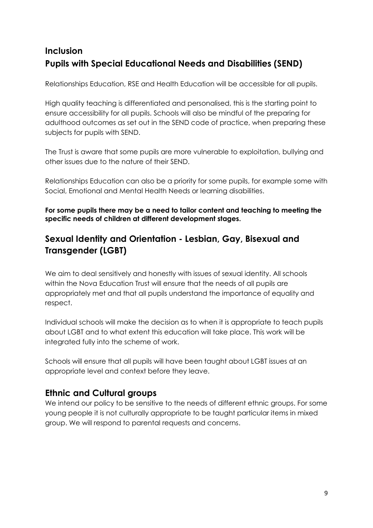## <span id="page-8-1"></span><span id="page-8-0"></span>**Inclusion Pupils with Special Educational Needs and Disabilities (SEND)**

Relationships Education, RSE and Health Education will be accessible for all pupils.

High quality teaching is differentiated and personalised, this is the starting point to ensure accessibility for all pupils. Schools will also be mindful of the preparing for adulthood outcomes as set out in the SEND code of practice, when preparing these subjects for pupils with SEND.

The Trust is aware that some pupils are more vulnerable to exploitation, bullying and other issues due to the nature of their SEND.

Relationships Education can also be a priority for some pupils, for example some with Social, Emotional and Mental Health Needs or learning disabilities.

**For some pupils there may be a need to tailor content and teaching to meeting the specific needs of children at different development stages.**

## <span id="page-8-2"></span>**Sexual Identity and Orientation - Lesbian, Gay, Bisexual and Transgender (LGBT)**

We aim to deal sensitively and honestly with issues of sexual identity. All schools within the Nova Education Trust will ensure that the needs of all pupils are appropriately met and that all pupils understand the importance of equality and respect.

Individual schools will make the decision as to when it is appropriate to teach pupils about LGBT and to what extent this education will take place. This work will be integrated fully into the scheme of work.

Schools will ensure that all pupils will have been taught about LGBT issues at an appropriate level and context before they leave.

## <span id="page-8-3"></span>**Ethnic and Cultural groups**

We intend our policy to be sensitive to the needs of different ethnic groups. For some young people it is not culturally appropriate to be taught particular items in mixed group. We will respond to parental requests and concerns.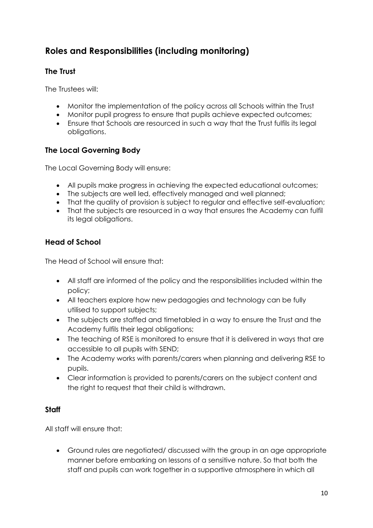## <span id="page-9-0"></span>**Roles and Responsibilities (including monitoring)**

#### <span id="page-9-1"></span>**The Trust**

The Trustees will:

- Monitor the implementation of the policy across all Schools within the Trust
- Monitor pupil progress to ensure that pupils achieve expected outcomes;
- Ensure that Schools are resourced in such a way that the Trust fulfils its legal obligations.

#### <span id="page-9-2"></span>**The Local Governing Body**

The Local Governing Body will ensure:

- All pupils make progress in achieving the expected educational outcomes;
- The subjects are well led, effectively managed and well planned;
- That the quality of provision is subject to regular and effective self-evaluation;
- That the subjects are resourced in a way that ensures the Academy can fulfil its legal obligations.

#### <span id="page-9-3"></span>**Head of School**

The Head of School will ensure that:

- All staff are informed of the policy and the responsibilities included within the policy;
- All teachers explore how new pedagogies and technology can be fully utilised to support subjects;
- The subjects are staffed and timetabled in a way to ensure the Trust and the Academy fulfils their legal obligations;
- The teaching of RSE is monitored to ensure that it is delivered in ways that are accessible to all pupils with SEND;
- The Academy works with parents/carers when planning and delivering RSE to pupils.
- Clear information is provided to parents/carers on the subject content and the right to request that their child is withdrawn.

#### <span id="page-9-4"></span>**Staff**

All staff will ensure that:

• Ground rules are negotiated/ discussed with the group in an age appropriate manner before embarking on lessons of a sensitive nature. So that both the staff and pupils can work together in a supportive atmosphere in which all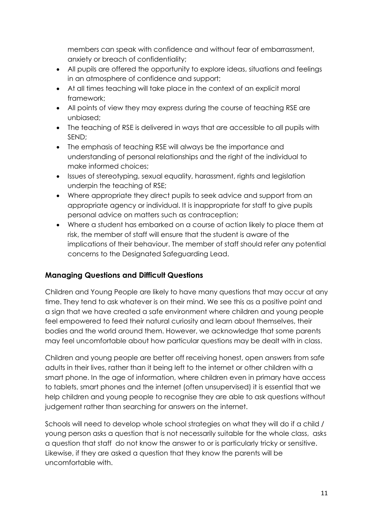members can speak with confidence and without fear of embarrassment, anxiety or breach of confidentiality;

- All pupils are offered the opportunity to explore ideas, situations and feelings in an atmosphere of confidence and support;
- At all times teaching will take place in the context of an explicit moral framework;
- All points of view they may express during the course of teaching RSE are unbiased;
- The teaching of RSE is delivered in ways that are accessible to all pupils with SEND;
- The emphasis of teaching RSE will always be the importance and understanding of personal relationships and the right of the individual to make informed choices;
- Issues of stereotyping, sexual equality, harassment, rights and legislation underpin the teaching of RSE;
- Where appropriate they direct pupils to seek advice and support from an appropriate agency or individual. It is inappropriate for staff to give pupils personal advice on matters such as contraception;
- Where a student has embarked on a course of action likely to place them at risk, the member of staff will ensure that the student is aware of the implications of their behaviour. The member of staff should refer any potential concerns to the Designated Safeguarding Lead.

#### <span id="page-10-0"></span>**Managing Questions and Difficult Questions**

Children and Young People are likely to have many questions that may occur at any time. They tend to ask whatever is on their mind. We see this as a positive point and a sign that we have created a safe environment where children and young people feel empowered to feed their natural curiosity and learn about themselves, their bodies and the world around them. However, we acknowledge that some parents may feel uncomfortable about how particular questions may be dealt with in class.

Children and young people are better off receiving honest, open answers from safe adults in their lives, rather than it being left to the internet or other children with a smart phone. In the age of information, where children even in primary have access to tablets, smart phones and the internet (often unsupervised) it is essential that we help children and young people to recognise they are able to ask questions without judgement rather than searching for answers on the internet.

Schools will need to develop whole school strategies on what they will do if a child / young person asks a question that is not necessarily suitable for the whole class, asks a question that staff do not know the answer to or is particularly tricky or sensitive. Likewise, if they are asked a question that they know the parents will be uncomfortable with.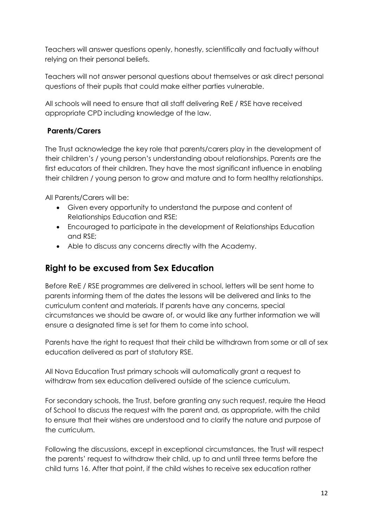Teachers will answer questions openly, honestly, scientifically and factually without relying on their personal beliefs.

Teachers will not answer personal questions about themselves or ask direct personal questions of their pupils that could make either parties vulnerable.

All schools will need to ensure that all staff delivering ReE / RSE have received appropriate CPD including knowledge of the law.

#### <span id="page-11-0"></span>**Parents/Carers**

The Trust acknowledge the key role that parents/carers play in the development of their children's / young person's understanding about relationships. Parents are the first educators of their children. They have the most significant influence in enabling their children / young person to grow and mature and to form healthy relationships.

All Parents/Carers will be:

- Given every opportunity to understand the purpose and content of Relationships Education and RSE;
- Encouraged to participate in the development of Relationships Education and RSE;
- Able to discuss any concerns directly with the Academy.

## <span id="page-11-1"></span>**Right to be excused from Sex Education**

Before ReE / RSE programmes are delivered in school, letters will be sent home to parents informing them of the dates the lessons will be delivered and links to the curriculum content and materials. If parents have any concerns, special circumstances we should be aware of, or would like any further information we will ensure a designated time is set for them to come into school.

Parents have the right to request that their child be withdrawn from some or all of sex education delivered as part of statutory RSE.

All Nova Education Trust primary schools will automatically grant a request to withdraw from sex education delivered outside of the science curriculum.

For secondary schools, the Trust, before granting any such request, require the Head of School to discuss the request with the parent and, as appropriate, with the child to ensure that their wishes are understood and to clarify the nature and purpose of the curriculum.

Following the discussions, except in exceptional circumstances, the Trust will respect the parents' request to withdraw their child, up to and until three terms before the child turns 16. After that point, if the child wishes to receive sex education rather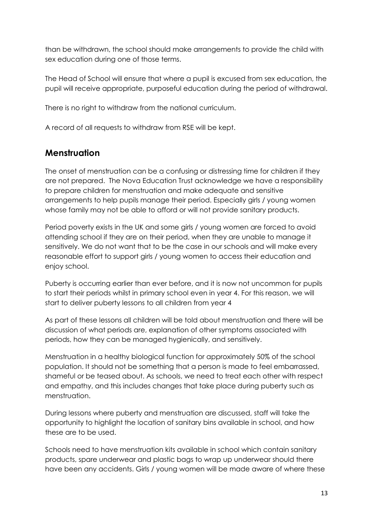than be withdrawn, the school should make arrangements to provide the child with sex education during one of those terms.

The Head of School will ensure that where a pupil is excused from sex education, the pupil will receive appropriate, purposeful education during the period of withdrawal.

There is no right to withdraw from the national curriculum.

A record of all requests to withdraw from RSE will be kept.

## <span id="page-12-0"></span>**Menstruation**

The onset of menstruation can be a confusing or distressing time for children if they are not prepared. The Nova Education Trust acknowledge we have a responsibility to prepare children for menstruation and make adequate and sensitive arrangements to help pupils manage their period. Especially girls / young women whose family may not be able to afford or will not provide sanitary products.

Period poverty exists in the UK and some girls / young women are forced to avoid attending school if they are on their period, when they are unable to manage it sensitively. We do not want that to be the case in our schools and will make every reasonable effort to support girls / young women to access their education and enjoy school.

Puberty is occurring earlier than ever before, and it is now not uncommon for pupils to start their periods whilst in primary school even in year 4. For this reason, we will start to deliver puberty lessons to all children from year 4

As part of these lessons all children will be told about menstruation and there will be discussion of what periods are, explanation of other symptoms associated with periods, how they can be managed hygienically, and sensitively.

Menstruation in a healthy biological function for approximately 50% of the school population. It should not be something that a person is made to feel embarrassed, shameful or be teased about. As schools, we need to treat each other with respect and empathy, and this includes changes that take place during puberty such as menstruation.

During lessons where puberty and menstruation are discussed, staff will take the opportunity to highlight the location of sanitary bins available in school, and how these are to be used.

Schools need to have menstruation kits available in school which contain sanitary products, spare underwear and plastic bags to wrap up underwear should there have been any accidents. Girls / young women will be made aware of where these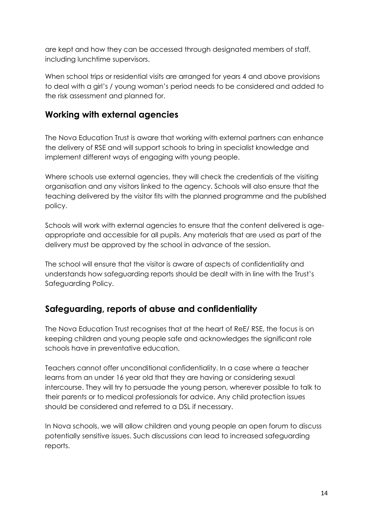are kept and how they can be accessed through designated members of staff, including lunchtime supervisors.

When school trips or residential visits are arranged for years 4 and above provisions to deal with a girl's / young woman's period needs to be considered and added to the risk assessment and planned for.

## <span id="page-13-0"></span>**Working with external agencies**

The Nova Education Trust is aware that working with external partners can enhance the delivery of RSE and will support schools to bring in specialist knowledge and implement different ways of engaging with young people.

Where schools use external agencies, they will check the credentials of the visiting organisation and any visitors linked to the agency. Schools will also ensure that the teaching delivered by the visitor fits with the planned programme and the published policy.

Schools will work with external agencies to ensure that the content delivered is ageappropriate and accessible for all pupils. Any materials that are used as part of the delivery must be approved by the school in advance of the session.

The school will ensure that the visitor is aware of aspects of confidentiality and understands how safeguarding reports should be dealt with in line with the Trust's Safeguarding Policy.

## <span id="page-13-1"></span>**Safeguarding, reports of abuse and confidentiality**

The Nova Education Trust recognises that at the heart of ReE/ RSE, the focus is on keeping children and young people safe and acknowledges the significant role schools have in preventative education.

Teachers cannot offer unconditional confidentiality. In a case where a teacher learns from an under 16 year old that they are having or considering sexual intercourse. They will try to persuade the young person, wherever possible to talk to their parents or to medical professionals for advice. Any child protection issues should be considered and referred to a DSL if necessary.

In Nova schools, we will allow children and young people an open forum to discuss potentially sensitive issues. Such discussions can lead to increased safeguarding reports.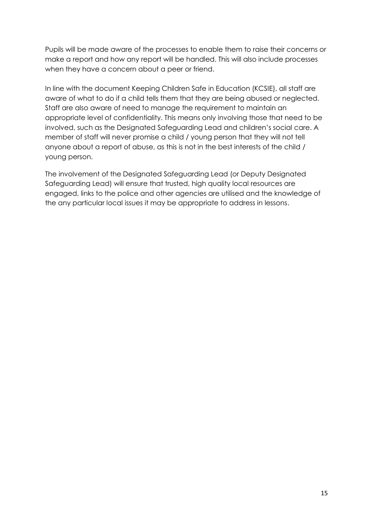Pupils will be made aware of the processes to enable them to raise their concerns or make a report and how any report will be handled. This will also include processes when they have a concern about a peer or friend.

In line with the document Keeping Children Safe in Education (KCSIE), all staff are aware of what to do if a child tells them that they are being abused or neglected. Staff are also aware of need to manage the requirement to maintain an appropriate level of confidentiality. This means only involving those that need to be involved, such as the Designated Safeguarding Lead and children's social care. A member of staff will never promise a child / young person that they will not tell anyone about a report of abuse, as this is not in the best interests of the child / young person.

The involvement of the Designated Safeguarding Lead (or Deputy Designated Safeguarding Lead) will ensure that trusted, high quality local resources are engaged, links to the police and other agencies are utilised and the knowledge of the any particular local issues it may be appropriate to address in lessons.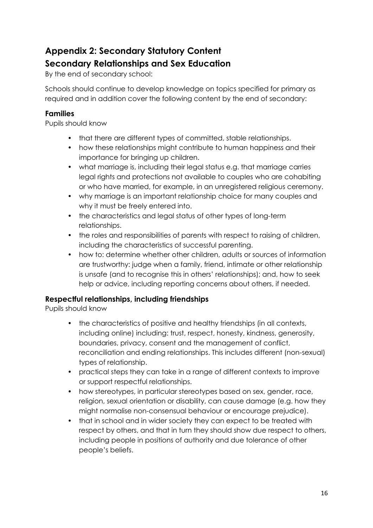## <span id="page-15-1"></span><span id="page-15-0"></span>**Appendix 2: Secondary Statutory Content Secondary Relationships and Sex Education**

By the end of secondary school:

Schools should continue to develop knowledge on topics specified for primary as required and in addition cover the following content by the end of secondary:

#### <span id="page-15-2"></span>**Families**

Pupils should know

- that there are different types of committed, stable relationships.
- how these relationships might contribute to human happiness and their importance for bringing up children.
- what marriage is, including their legal status e.g. that marriage carries legal rights and protections not available to couples who are cohabiting or who have married, for example, in an unregistered religious ceremony.
- why marriage is an important relationship choice for many couples and why it must be freely entered into.
- the characteristics and legal status of other types of long-term relationships.
- the roles and responsibilities of parents with respect to raising of children, including the characteristics of successful parenting.
- how to: determine whether other children, adults or sources of information are trustworthy: judge when a family, friend, intimate or other relationship is unsafe (and to recognise this in others' relationships); and, how to seek help or advice, including reporting concerns about others, if needed.

#### <span id="page-15-3"></span>**Respectful relationships, including friendships**

- the characteristics of positive and healthy friendships (in all contexts, including online) including: trust, respect, honesty, kindness, generosity, boundaries, privacy, consent and the management of conflict, reconciliation and ending relationships. This includes different (non-sexual) types of relationship.
- practical steps they can take in a range of different contexts to improve or support respectful relationships.
- how stereotypes, in particular stereotypes based on sex, gender, race, religion, sexual orientation or disability, can cause damage (e.g. how they might normalise non-consensual behaviour or encourage prejudice).
- that in school and in wider society they can expect to be treated with respect by others, and that in turn they should show due respect to others, including people in positions of authority and due tolerance of other people's beliefs.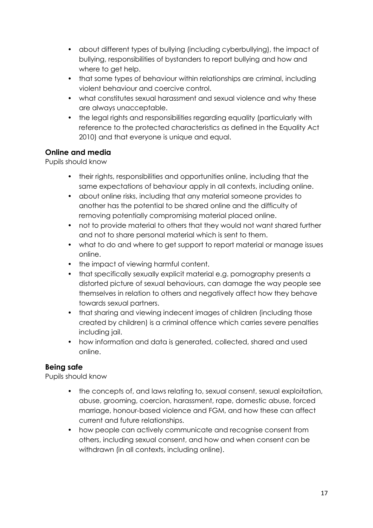- about different types of bullying (including cyberbullying), the impact of bullying, responsibilities of bystanders to report bullying and how and where to get help.
- that some types of behaviour within relationships are criminal, including violent behaviour and coercive control.
- what constitutes sexual harassment and sexual violence and why these are always unacceptable.
- the legal rights and responsibilities regarding equality (particularly with reference to the protected characteristics as defined in the Equality Act 2010) and that everyone is unique and equal.

#### <span id="page-16-0"></span>**Online and media**

Pupils should know

- their rights, responsibilities and opportunities online, including that the same expectations of behaviour apply in all contexts, including online.
- about online risks, including that any material someone provides to another has the potential to be shared online and the difficulty of removing potentially compromising material placed online.
- not to provide material to others that they would not want shared further and not to share personal material which is sent to them.
- what to do and where to get support to report material or manage issues online.
- the impact of viewing harmful content.
- that specifically sexually explicit material e.g. pornography presents a distorted picture of sexual behaviours, can damage the way people see themselves in relation to others and negatively affect how they behave towards sexual partners.
- that sharing and viewing indecent images of children (including those created by children) is a criminal offence which carries severe penalties including jail.
- how information and data is generated, collected, shared and used online.

#### <span id="page-16-1"></span>**Being safe**

- the concepts of, and laws relating to, sexual consent, sexual exploitation, abuse, grooming, coercion, harassment, rape, domestic abuse, forced marriage, honour-based violence and FGM, and how these can affect current and future relationships.
- how people can actively communicate and recognise consent from others, including sexual consent, and how and when consent can be withdrawn (in all contexts, including online).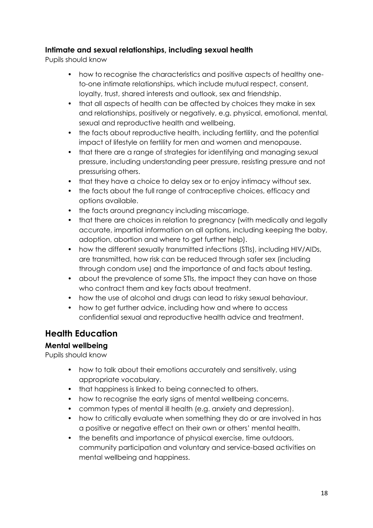#### <span id="page-17-0"></span>**Intimate and sexual relationships, including sexual health**

Pupils should know

- how to recognise the characteristics and positive aspects of healthy oneto-one intimate relationships, which include mutual respect, consent, loyalty, trust, shared interests and outlook, sex and friendship.
- that all aspects of health can be affected by choices they make in sex and relationships, positively or negatively, e.g. physical, emotional, mental, sexual and reproductive health and wellbeing.
- the facts about reproductive health, including fertility, and the potential impact of lifestyle on fertility for men and women and menopause.
- that there are a range of strategies for identifying and managing sexual pressure, including understanding peer pressure, resisting pressure and not pressurising others.
- that they have a choice to delay sex or to enjoy intimacy without sex.
- the facts about the full range of contraceptive choices, efficacy and options available.
- the facts around pregnancy including miscarriage.
- that there are choices in relation to pregnancy (with medically and legally accurate, impartial information on all options, including keeping the baby, adoption, abortion and where to get further help).
- how the different sexually transmitted infections (STIs), including HIV/AIDs, are transmitted, how risk can be reduced through safer sex (including through condom use) and the importance of and facts about testing.
- about the prevalence of some STIs, the impact they can have on those who contract them and key facts about treatment.
- how the use of alcohol and drugs can lead to risky sexual behaviour.
- how to get further advice, including how and where to access confidential sexual and reproductive health advice and treatment.

## <span id="page-17-1"></span>**Health Education**

#### <span id="page-17-2"></span>**Mental wellbeing**

- how to talk about their emotions accurately and sensitively, using appropriate vocabulary.
- that happiness is linked to being connected to others.
- how to recognise the early signs of mental wellbeing concerns.
- common types of mental ill health (e.g. anxiety and depression).
- how to critically evaluate when something they do or are involved in has a positive or negative effect on their own or others' mental health.
- the benefits and importance of physical exercise, time outdoors, community participation and voluntary and service-based activities on mental wellbeing and happiness.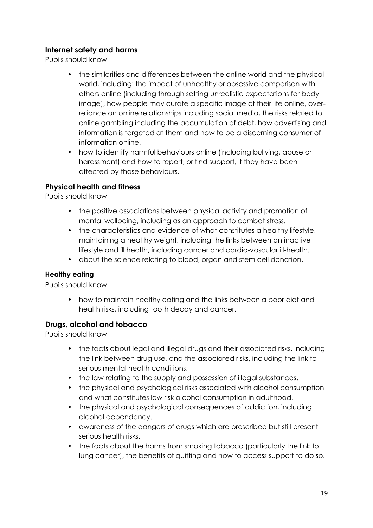#### <span id="page-18-0"></span>**Internet safety and harms**

Pupils should know

- the similarities and differences between the online world and the physical world, including: the impact of unhealthy or obsessive comparison with others online (including through setting unrealistic expectations for body image), how people may curate a specific image of their life online, overreliance on online relationships including social media, the risks related to online gambling including the accumulation of debt, how advertising and information is targeted at them and how to be a discerning consumer of information online.
- how to identify harmful behaviours online (including bullying, abuse or harassment) and how to report, or find support, if they have been affected by those behaviours.

#### <span id="page-18-1"></span>**Physical health and fitness**

Pupils should know

- the positive associations between physical activity and promotion of mental wellbeing, including as an approach to combat stress.
- the characteristics and evidence of what constitutes a healthy lifestyle, maintaining a healthy weight, including the links between an inactive lifestyle and ill health, including cancer and cardio-vascular ill-health.
- about the science relating to blood, organ and stem cell donation.

#### **Healthy eating**

Pupils should know

• how to maintain healthy eating and the links between a poor diet and health risks, including tooth decay and cancer.

#### <span id="page-18-2"></span>**Drugs, alcohol and tobacco**

- the facts about legal and illegal drugs and their associated risks, including the link between drug use, and the associated risks, including the link to serious mental health conditions.
- the law relating to the supply and possession of illegal substances.
- the physical and psychological risks associated with alcohol consumption and what constitutes low risk alcohol consumption in adulthood.
- the physical and psychological consequences of addiction, including alcohol dependency.
- awareness of the dangers of drugs which are prescribed but still present serious health risks.
- the facts about the harms from smoking tobacco (particularly the link to lung cancer), the benefits of quitting and how to access support to do so.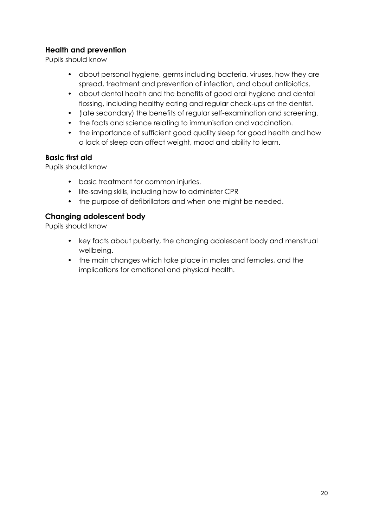#### <span id="page-19-0"></span>**Health and prevention**

Pupils should know

- about personal hygiene, germs including bacteria, viruses, how they are spread, treatment and prevention of infection, and about antibiotics.
- about dental health and the benefits of good oral hygiene and dental flossing, including healthy eating and regular check-ups at the dentist.
- (late secondary) the benefits of regular self-examination and screening.
- the facts and science relating to immunisation and vaccination.
- the importance of sufficient good quality sleep for good health and how a lack of sleep can affect weight, mood and ability to learn.

#### <span id="page-19-1"></span>**Basic first aid**

Pupils should know

- basic treatment for common injuries.
- life-saving skills, including how to administer CPR
- the purpose of defibrillators and when one might be needed.

#### <span id="page-19-2"></span>**Changing adolescent body**

- key facts about puberty, the changing adolescent body and menstrual wellbeing.
- the main changes which take place in males and females, and the implications for emotional and physical health.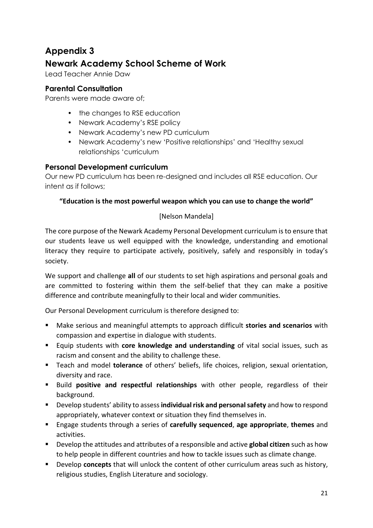## <span id="page-20-1"></span><span id="page-20-0"></span>**Appendix 3 Newark Academy School Scheme of Work**

Lead Teacher Annie Daw

#### **Parental Consultation**

Parents were made aware of;

- the changes to RSE education
- Newark Academy's RSE policy
- Newark Academy's new PD curriculum
- Newark Academy's new 'Positive relationships' and 'Healthy sexual relationships 'curriculum

#### **Personal Development curriculum**

Our new PD curriculum has been re-designed and includes all RSE education. Our intent as if follows;

#### **"Education is the most powerful weapon which you can use to change the world"**

#### [Nelson Mandela]

The core purpose of the Newark Academy Personal Development curriculum is to ensure that our students leave us well equipped with the knowledge, understanding and emotional literacy they require to participate actively, positively, safely and responsibly in today's society.

We support and challenge **all** of our students to set high aspirations and personal goals and are committed to fostering within them the self-belief that they can make a positive difference and contribute meaningfully to their local and wider communities.

Our Personal Development curriculum is therefore designed to:

- Make serious and meaningful attempts to approach difficult **stories and scenarios** with compassion and expertise in dialogue with students.
- Equip students with **core knowledge and understanding** of vital social issues, such as racism and consent and the ability to challenge these.
- Teach and model **tolerance** of others' beliefs, life choices, religion, sexual orientation, diversity and race.
- Build **positive and respectful relationships** with other people, regardless of their background.
- Develop students' ability to assess **individual risk and personal safety** and how to respond appropriately, whatever context or situation they find themselves in.
- Engage students through a series of **carefully sequenced**, **age appropriate**, **themes** and activities.
- Develop the attitudes and attributes of a responsible and active **global citizen** such as how to help people in different countries and how to tackle issues such as climate change.
- Develop **concepts** that will unlock the content of other curriculum areas such as history, religious studies, English Literature and sociology.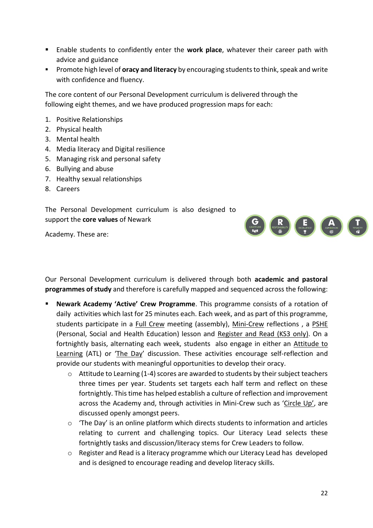- Enable students to confidently enter the **work place**, whatever their career path with advice and guidance
- Promote high level of **oracy and literacy** by encouraging students to think, speak and write with confidence and fluency.

The core content of our Personal Development curriculum is delivered through the following eight themes, and we have produced progression maps for each:

- 1. Positive Relationships
- 2. Physical health
- 3. Mental health
- 4. Media literacy and Digital resilience
- 5. Managing risk and personal safety
- 6. Bullying and abuse
- 7. Healthy sexual relationships
- 8. Careers

The Personal Development curriculum is also designed to support the **core values** of Newark



Academy. These are:

Our Personal Development curriculum is delivered through both **academic and pastoral programmes of study** and therefore is carefully mapped and sequenced across the following:

- **Newark Academy 'Active' Crew Programme**. This programme consists of a rotation of daily activities which last for 25 minutes each. Each week, and as part of this programme, students participate in a Full Crew meeting (assembly), Mini-Crew reflections, a PSHE (Personal, Social and Health Education) lesson and Register and Read (KS3 only). On a fortnightly basis, alternating each week, students also engage in either an Attitude to Learning (ATL) or 'The Day' discussion. These activities encourage self-reflection and provide our students with meaningful opportunities to develop their oracy.
	- o Attitude to Learning (1-4) scores are awarded to students by their subject teachers three times per year. Students set targets each half term and reflect on these fortnightly. This time has helped establish a culture of reflection and improvement across the Academy and, through activities in Mini-Crew such as 'Circle Up', are discussed openly amongst peers.
	- $\circ$  'The Day' is an online platform which directs students to information and articles relating to current and challenging topics. Our Literacy Lead selects these fortnightly tasks and discussion/literacy stems for Crew Leaders to follow.
	- o Register and Read is a literacy programme which our Literacy Lead has developed and is designed to encourage reading and develop literacy skills.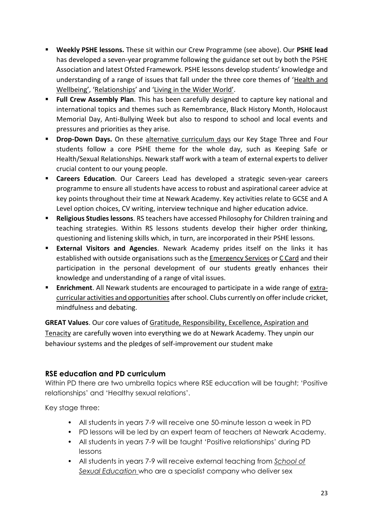- **Weekly PSHE lessons.** These sit within our Crew Programme (see above). Our **PSHE lead** has developed a seven-year programme following the guidance set out by both the PSHE Association and latest Ofsted Framework. PSHE lessons develop students' knowledge and understanding of a range of issues that fall under the three core themes of 'Health and Wellbeing', 'Relationships' and 'Living in the Wider World'.
- **Full Crew Assembly Plan**. This has been carefully designed to capture key national and international topics and themes such as Remembrance, Black History Month, Holocaust Memorial Day, Anti-Bullying Week but also to respond to school and local events and pressures and priorities as they arise.
- **Drop-Down Days.** On these alternative curriculum days our Key Stage Three and Four students follow a core PSHE theme for the whole day, such as Keeping Safe or Health/Sexual Relationships. Newark staff work with a team of external experts to deliver crucial content to our young people.
- **Careers Education**. Our Careers Lead has developed a strategic seven-year careers programme to ensure all students have access to robust and aspirational career advice at key points throughout their time at Newark Academy. Key activities relate to GCSE and A Level option choices, CV writing, interview technique and higher education advice.
- **Religious Studies lessons**. RS teachers have accessed Philosophy for Children training and teaching strategies. Within RS lessons students develop their higher order thinking, questioning and listening skills which, in turn, are incorporated in their PSHE lessons.
- **External Visitors and Agencies**. Newark Academy prides itself on the links it has established with outside organisations such as the Emergency Services or C Card and their participation in the personal development of our students greatly enhances their knowledge and understanding of a range of vital issues.
- **Enrichment**. All Newark students are encouraged to participate in a wide range of extracurricular activities and opportunities after school. Clubs currently on offer include cricket, mindfulness and debating.

**GREAT Values**. Our core values of Gratitude, Responsibility, Excellence, Aspiration and Tenacity are carefully woven into everything we do at Newark Academy. They unpin our behaviour systems and the pledges of self-improvement our student make

#### **RSE education and PD curriculum**

Within PD there are two umbrella topics where RSE education will be taught; 'Positive relationships' and 'Healthy sexual relations'.

Key stage three:

- All students in years 7-9 will receive one 50-minute lesson a week in PD
- PD lessons will be led by an expert team of teachers at Newark Academy.
- All students in years 7-9 will be taught 'Positive relationships' during PD lessons
- All students in years 7-9 will receive external teaching from *School of Sexual Education* who are a specialist company who deliver sex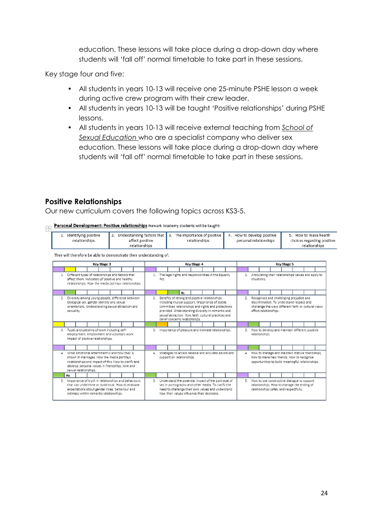education. These lessons will take place during a drop-down day where students will 'fall off' normal timetable to take part in these sessions.

Key stage four and five:

- All students in years 10-13 will receive one 25-minute PSHE lesson a week during active crew program with their crew leader.
- All students in years 10-13 will be taught 'Positive relationships' during PSHE lessons.
- All students in years 10-13 will receive external teaching from *School of Sexual Education* who are a specialist company who deliver sex education. These lessons will take place during a drop-down day where students will 'fall off' normal timetable to take part in these sessions.

#### **Positive Relationships**

Our new curriculum covers the following topics across KS3-5.

Personal Development: Positive relationships Newark Academy students will be taught:

| relationships | Identifying positive | Understanding factors that   3. | The importance of positive | 4. How to develop positive | 5. How to make health      |
|---------------|----------------------|---------------------------------|----------------------------|----------------------------|----------------------------|
| relationships | relationships        | affect positive                 | relationships              | personal relationships     | choices regarding positive |

They will therefore be able to demonstrate their understanding of:

| Key Stage 3                                                                                                                                                                                                                        |    |  |  |  |  |  |                                                                                                                                                                                                                     |                                                                                                                                                                                                                                                                                                             |  |                                                       |           | Key Stage 4 |  |                                                                          | Key Stage 5 |                                                                                                                                        |                                                                                                                                                                              |  |  |  |  |  |  |  |
|------------------------------------------------------------------------------------------------------------------------------------------------------------------------------------------------------------------------------------|----|--|--|--|--|--|---------------------------------------------------------------------------------------------------------------------------------------------------------------------------------------------------------------------|-------------------------------------------------------------------------------------------------------------------------------------------------------------------------------------------------------------------------------------------------------------------------------------------------------------|--|-------------------------------------------------------|-----------|-------------|--|--------------------------------------------------------------------------|-------------|----------------------------------------------------------------------------------------------------------------------------------------|------------------------------------------------------------------------------------------------------------------------------------------------------------------------------|--|--|--|--|--|--|--|
|                                                                                                                                                                                                                                    |    |  |  |  |  |  |                                                                                                                                                                                                                     |                                                                                                                                                                                                                                                                                                             |  |                                                       |           |             |  |                                                                          |             |                                                                                                                                        |                                                                                                                                                                              |  |  |  |  |  |  |  |
| Different types of relationships and factors that<br>affect them. Indicators of positive and healthy<br>relationships. How the media portrays relationships.                                                                       |    |  |  |  |  |  | 1.                                                                                                                                                                                                                  | Act.                                                                                                                                                                                                                                                                                                        |  | The legal rights and responsibilities in the Equality |           |             |  | Articulating their relationships values and apply to<br>1<br>situations. |             |                                                                                                                                        |                                                                                                                                                                              |  |  |  |  |  |  |  |
|                                                                                                                                                                                                                                    |    |  |  |  |  |  |                                                                                                                                                                                                                     |                                                                                                                                                                                                                                                                                                             |  |                                                       | <b>Rs</b> |             |  |                                                                          |             |                                                                                                                                        |                                                                                                                                                                              |  |  |  |  |  |  |  |
| Diversity among young people, difference between<br>$2^{\circ}$<br>biological sex, gender identity and sexual<br>orientations. Understanding sexual attraction and<br>sexuality.                                                   |    |  |  |  |  |  |                                                                                                                                                                                                                     | Benefits of strong and positive relationships<br>2.<br>including mutual support. Importance of stable,<br>committed relationships and rights and protections<br>provided. Understanding diversity in romantic and<br>sexual attraction. How faith, cultural practices and<br>belief concerns relationships. |  |                                                       |           |             |  |                                                                          |             |                                                                                                                                        | Recognises and challenging prejudice and<br>2.<br>discrimination. To understand respect and<br>challenge the ways different faith or cultural views<br>affect relationships. |  |  |  |  |  |  |  |
|                                                                                                                                                                                                                                    |    |  |  |  |  |  |                                                                                                                                                                                                                     |                                                                                                                                                                                                                                                                                                             |  |                                                       |           |             |  |                                                                          |             |                                                                                                                                        |                                                                                                                                                                              |  |  |  |  |  |  |  |
| Types and patterns of work including self-<br>3.<br>employment, employment and voluntary work.<br>Impact of positive relationships.                                                                                                |    |  |  |  |  |  |                                                                                                                                                                                                                     | 3. Importance of pleasure and intimate relationships.                                                                                                                                                                                                                                                       |  |                                                       |           |             |  |                                                                          |             | 3.<br>How to develop and maintain different positive<br>relationships.                                                                 |                                                                                                                                                                              |  |  |  |  |  |  |  |
|                                                                                                                                                                                                                                    |    |  |  |  |  |  |                                                                                                                                                                                                                     |                                                                                                                                                                                                                                                                                                             |  |                                                       |           |             |  |                                                                          |             |                                                                                                                                        |                                                                                                                                                                              |  |  |  |  |  |  |  |
| 4. What emotional attachment is and how they is<br>shown in marriages. How the media portrays<br>relationships and impact of this. How to clarify and<br>develop personal values in friendships, love and<br>sexual relationships. |    |  |  |  |  |  |                                                                                                                                                                                                                     | Strategies to access reliable and accurate advice and<br>4.<br>support on relationships.                                                                                                                                                                                                                    |  |                                                       |           |             |  |                                                                          |             |                                                                                                                                        | How to manage and maintain mature friendships,<br>4.<br>how to make new friends. How to recognise<br>opportunities to build meaningful relationships.                        |  |  |  |  |  |  |  |
|                                                                                                                                                                                                                                    | Pa |  |  |  |  |  |                                                                                                                                                                                                                     |                                                                                                                                                                                                                                                                                                             |  |                                                       |           |             |  |                                                                          |             |                                                                                                                                        |                                                                                                                                                                              |  |  |  |  |  |  |  |
| 5. Importance of truth in relationships and behaviours<br>that can undermine or build trust. How to evaluate<br>expectations about gender roles, behaviour and<br>intimacy within romantic relationships.                          |    |  |  |  |  |  | Understand the potential impact of the portrayal of<br>5.<br>sex in pornography and other media. To clarify the<br>need to challenge their own values and understand<br>how their values influence their decisions. |                                                                                                                                                                                                                                                                                                             |  |                                                       |           |             |  |                                                                          |             | 5. How to use constructive dialogue to support<br>relationships. How to manage the ending of<br>relationships safely and respectfully. |                                                                                                                                                                              |  |  |  |  |  |  |  |